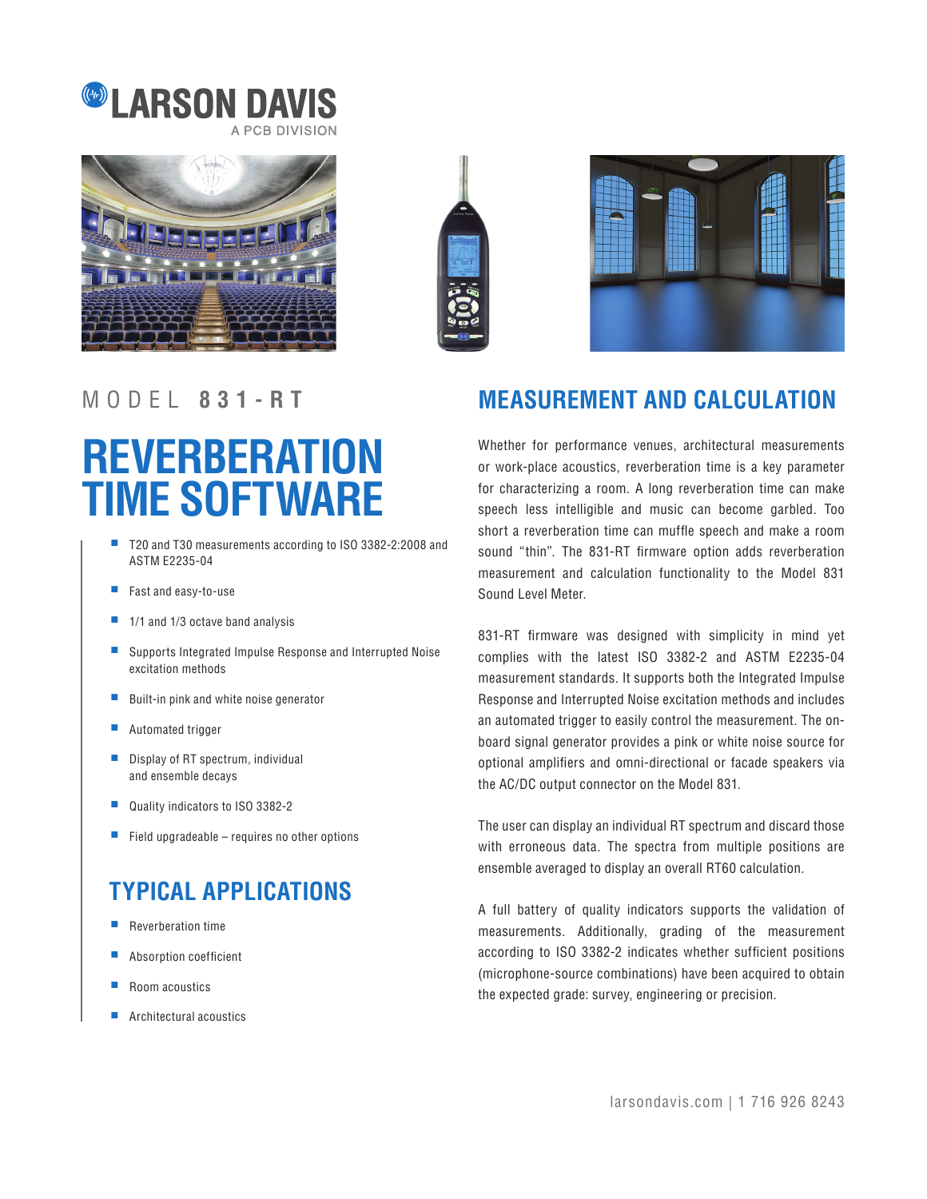







# **REVERBERATION TIME SOFTWARE**

- T20 and T30 measurements according to ISO 3382-2:2008 and ASTM E2235-04
- Fast and easy-to-use
- 1/1 and 1/3 octave band analysis
- Supports Integrated Impulse Response and Interrupted Noise excitation methods
- Built-in pink and white noise generator
- Automated trigger
- Display of RT spectrum, individual and ensemble decays
- Quality indicators to ISO 3382-2
- $\blacksquare$  Field upgradeable requires no other options

## **TYPICAL APPLICATIONS**

- Reverberation time
- Absorption coefficient
- Room acoustics
- Architectural acoustics

### MODEL **831-RT MEASUREMENT AND CALCULATION**

Whether for performance venues, architectural measurements or work-place acoustics, reverberation time is a key parameter for characterizing a room. A long reverberation time can make speech less intelligible and music can become garbled. Too short a reverberation time can muffle speech and make a room sound "thin". The 831-RT firmware option adds reverberation measurement and calculation functionality to the Model 831 Sound Level Meter.

831-RT firmware was designed with simplicity in mind yet complies with the latest ISO 3382-2 and ASTM E2235-04 measurement standards. It supports both the Integrated Impulse Response and Interrupted Noise excitation methods and includes an automated trigger to easily control the measurement. The onboard signal generator provides a pink or white noise source for optional amplifiers and omni-directional or facade speakers via the AC/DC output connector on the Model 831.

The user can display an individual RT spectrum and discard those with erroneous data. The spectra from multiple positions are ensemble averaged to display an overall RT60 calculation.

A full battery of quality indicators supports the validation of measurements. Additionally, grading of the measurement according to ISO 3382-2 indicates whether sufficient positions (microphone-source combinations) have been acquired to obtain the expected grade: survey, engineering or precision.